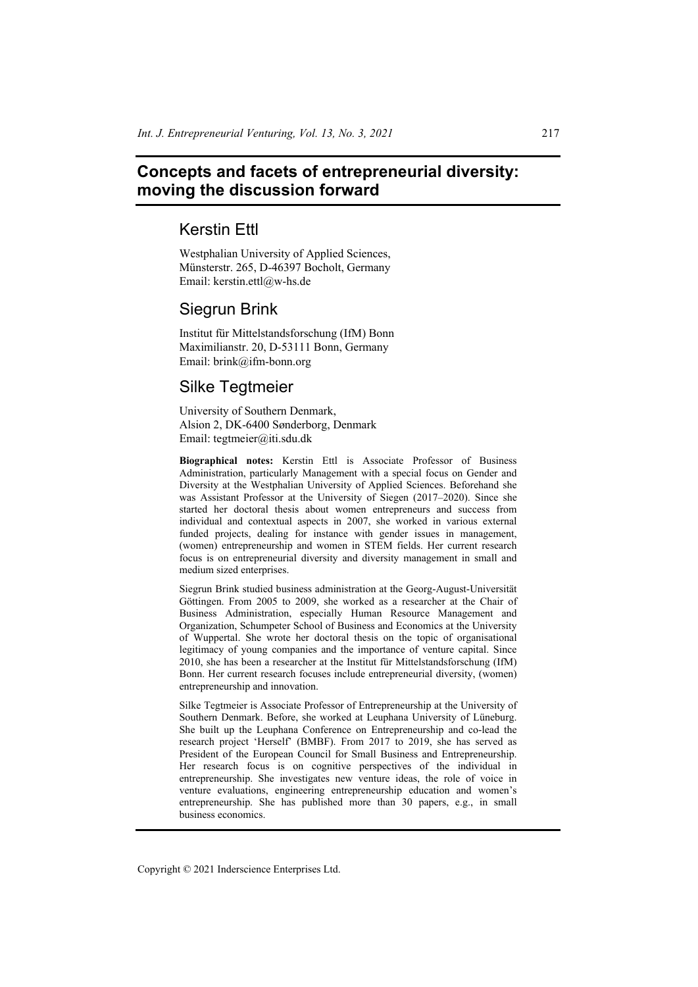# **Concepts and facets of entrepreneurial diversity: moving the discussion forward**

## Kerstin Ettl

Westphalian University of Applied Sciences, Münsterstr. 265, D-46397 Bocholt, Germany Email: kerstin.ettl@w-hs.de

# Siegrun Brink

Institut für Mittelstandsforschung (IfM) Bonn Maximilianstr. 20, D-53111 Bonn, Germany Email: brink@ifm-bonn.org

# Silke Tegtmeier

University of Southern Denmark, Alsion 2, DK-6400 Sønderborg, Denmark Email: tegtmeier@iti.sdu.dk

**Biographical notes:** Kerstin Ettl is Associate Professor of Business Administration, particularly Management with a special focus on Gender and Diversity at the Westphalian University of Applied Sciences. Beforehand she was Assistant Professor at the University of Siegen (2017–2020). Since she started her doctoral thesis about women entrepreneurs and success from individual and contextual aspects in 2007, she worked in various external funded projects, dealing for instance with gender issues in management, (women) entrepreneurship and women in STEM fields. Her current research focus is on entrepreneurial diversity and diversity management in small and medium sized enterprises.

Siegrun Brink studied business administration at the Georg-August-Universität Göttingen. From 2005 to 2009, she worked as a researcher at the Chair of Business Administration, especially Human Resource Management and Organization, Schumpeter School of Business and Economics at the University of Wuppertal. She wrote her doctoral thesis on the topic of organisational legitimacy of young companies and the importance of venture capital. Since 2010, she has been a researcher at the Institut für Mittelstandsforschung (IfM) Bonn. Her current research focuses include entrepreneurial diversity, (women) entrepreneurship and innovation.

Silke Tegtmeier is Associate Professor of Entrepreneurship at the University of Southern Denmark. Before, she worked at Leuphana University of Lüneburg. She built up the Leuphana Conference on Entrepreneurship and co-lead the research project 'Herself' (BMBF). From 2017 to 2019, she has served as President of the European Council for Small Business and Entrepreneurship. Her research focus is on cognitive perspectives of the individual in entrepreneurship. She investigates new venture ideas, the role of voice in venture evaluations, engineering entrepreneurship education and women's entrepreneurship. She has published more than 30 papers, e.g., in small business economics.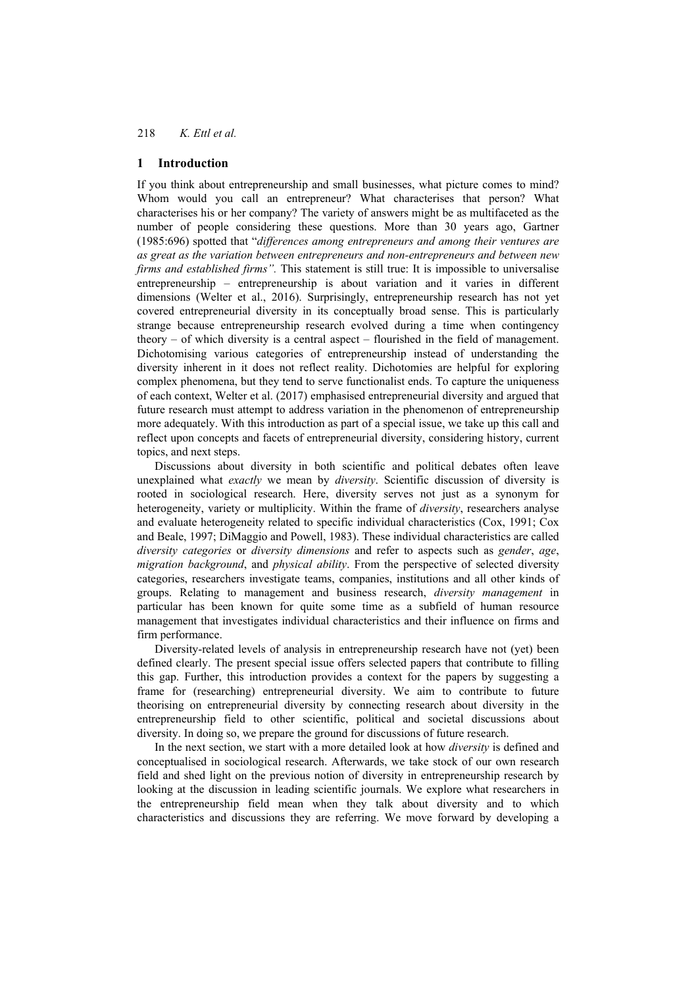### **1 Introduction**

If you think about entrepreneurship and small businesses, what picture comes to mind? Whom would you call an entrepreneur? What characterises that person? What characterises his or her company? The variety of answers might be as multifaceted as the number of people considering these questions. More than 30 years ago, Gartner (1985:696) spotted that "*differences among entrepreneurs and among their ventures are as great as the variation between entrepreneurs and non-entrepreneurs and between new firms and established firms".* This statement is still true: It is impossible to universalise entrepreneurship – entrepreneurship is about variation and it varies in different dimensions (Welter et al., 2016). Surprisingly, entrepreneurship research has not yet covered entrepreneurial diversity in its conceptually broad sense. This is particularly strange because entrepreneurship research evolved during a time when contingency theory – of which diversity is a central aspect – flourished in the field of management. Dichotomising various categories of entrepreneurship instead of understanding the diversity inherent in it does not reflect reality. Dichotomies are helpful for exploring complex phenomena, but they tend to serve functionalist ends. To capture the uniqueness of each context, Welter et al. (2017) emphasised entrepreneurial diversity and argued that future research must attempt to address variation in the phenomenon of entrepreneurship more adequately. With this introduction as part of a special issue, we take up this call and reflect upon concepts and facets of entrepreneurial diversity, considering history, current topics, and next steps.

Discussions about diversity in both scientific and political debates often leave unexplained what *exactly* we mean by *diversity*. Scientific discussion of diversity is rooted in sociological research. Here, diversity serves not just as a synonym for heterogeneity, variety or multiplicity. Within the frame of *diversity*, researchers analyse and evaluate heterogeneity related to specific individual characteristics (Cox, 1991; Cox and Beale, 1997; DiMaggio and Powell, 1983). These individual characteristics are called *diversity categories* or *diversity dimensions* and refer to aspects such as *gender*, *age*, *migration background*, and *physical ability*. From the perspective of selected diversity categories, researchers investigate teams, companies, institutions and all other kinds of groups. Relating to management and business research, *diversity management* in particular has been known for quite some time as a subfield of human resource management that investigates individual characteristics and their influence on firms and firm performance.

Diversity-related levels of analysis in entrepreneurship research have not (yet) been defined clearly. The present special issue offers selected papers that contribute to filling this gap. Further, this introduction provides a context for the papers by suggesting a frame for (researching) entrepreneurial diversity. We aim to contribute to future theorising on entrepreneurial diversity by connecting research about diversity in the entrepreneurship field to other scientific, political and societal discussions about diversity. In doing so, we prepare the ground for discussions of future research.

In the next section, we start with a more detailed look at how *diversity* is defined and conceptualised in sociological research. Afterwards, we take stock of our own research field and shed light on the previous notion of diversity in entrepreneurship research by looking at the discussion in leading scientific journals. We explore what researchers in the entrepreneurship field mean when they talk about diversity and to which characteristics and discussions they are referring. We move forward by developing a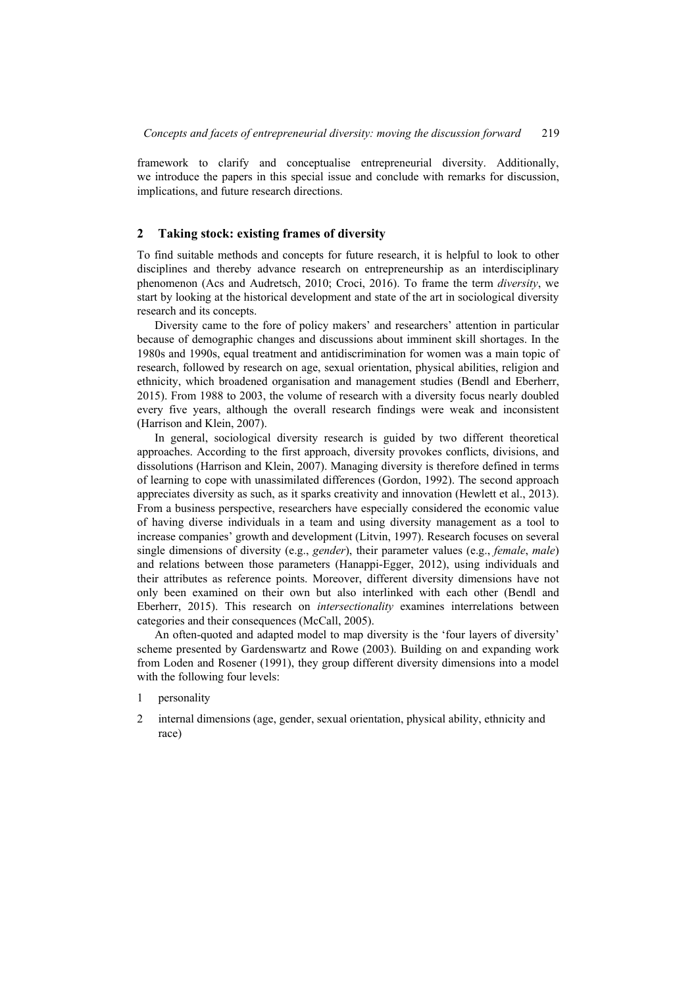framework to clarify and conceptualise entrepreneurial diversity. Additionally, we introduce the papers in this special issue and conclude with remarks for discussion, implications, and future research directions.

### **2 Taking stock: existing frames of diversity**

To find suitable methods and concepts for future research, it is helpful to look to other disciplines and thereby advance research on entrepreneurship as an interdisciplinary phenomenon (Acs and Audretsch, 2010; Croci, 2016). To frame the term *diversity*, we start by looking at the historical development and state of the art in sociological diversity research and its concepts.

Diversity came to the fore of policy makers' and researchers' attention in particular because of demographic changes and discussions about imminent skill shortages. In the 1980s and 1990s, equal treatment and antidiscrimination for women was a main topic of research, followed by research on age, sexual orientation, physical abilities, religion and ethnicity, which broadened organisation and management studies (Bendl and Eberherr, 2015). From 1988 to 2003, the volume of research with a diversity focus nearly doubled every five years, although the overall research findings were weak and inconsistent (Harrison and Klein, 2007).

In general, sociological diversity research is guided by two different theoretical approaches. According to the first approach, diversity provokes conflicts, divisions, and dissolutions (Harrison and Klein, 2007). Managing diversity is therefore defined in terms of learning to cope with unassimilated differences (Gordon, 1992). The second approach appreciates diversity as such, as it sparks creativity and innovation (Hewlett et al., 2013). From a business perspective, researchers have especially considered the economic value of having diverse individuals in a team and using diversity management as a tool to increase companies' growth and development (Litvin, 1997). Research focuses on several single dimensions of diversity (e.g., *gender*), their parameter values (e.g., *female*, *male*) and relations between those parameters (Hanappi-Egger, 2012), using individuals and their attributes as reference points. Moreover, different diversity dimensions have not only been examined on their own but also interlinked with each other (Bendl and Eberherr, 2015). This research on *intersectionality* examines interrelations between categories and their consequences (McCall, 2005).

An often-quoted and adapted model to map diversity is the 'four layers of diversity' scheme presented by Gardenswartz and Rowe (2003). Building on and expanding work from Loden and Rosener (1991), they group different diversity dimensions into a model with the following four levels:

- 1 personality
- 2 internal dimensions (age, gender, sexual orientation, physical ability, ethnicity and race)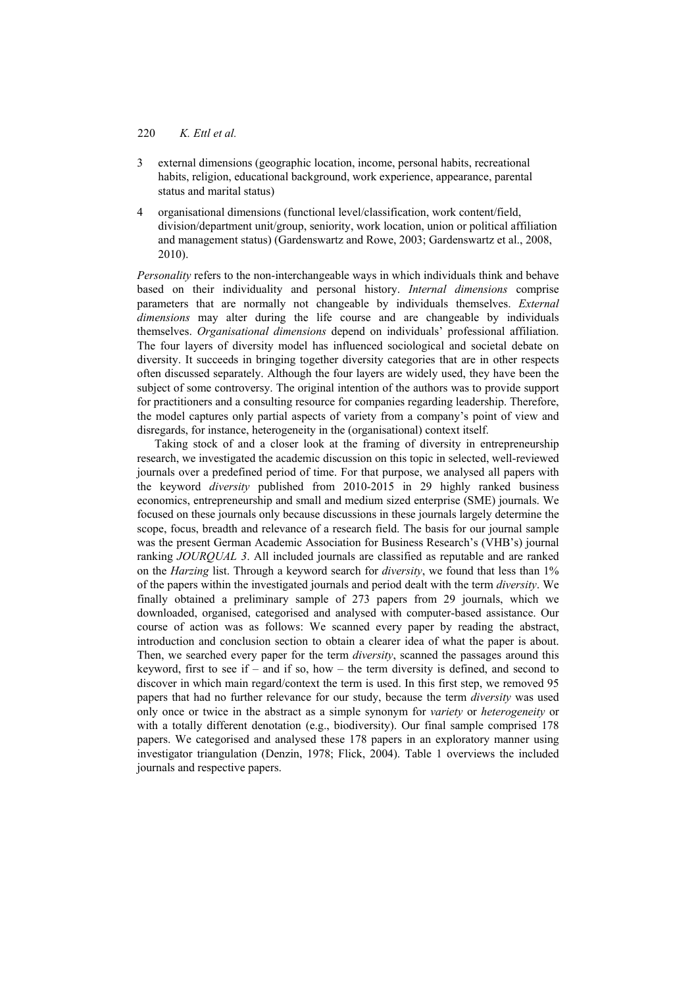- 3 external dimensions (geographic location, income, personal habits, recreational habits, religion, educational background, work experience, appearance, parental status and marital status)
- 4 organisational dimensions (functional level/classification, work content/field, division/department unit/group, seniority, work location, union or political affiliation and management status) (Gardenswartz and Rowe, 2003; Gardenswartz et al., 2008, 2010).

*Personality* refers to the non-interchangeable ways in which individuals think and behave based on their individuality and personal history. *Internal dimensions* comprise parameters that are normally not changeable by individuals themselves. *External dimensions* may alter during the life course and are changeable by individuals themselves. *Organisational dimensions* depend on individuals' professional affiliation. The four layers of diversity model has influenced sociological and societal debate on diversity. It succeeds in bringing together diversity categories that are in other respects often discussed separately. Although the four layers are widely used, they have been the subject of some controversy. The original intention of the authors was to provide support for practitioners and a consulting resource for companies regarding leadership. Therefore, the model captures only partial aspects of variety from a company's point of view and disregards, for instance, heterogeneity in the (organisational) context itself.

Taking stock of and a closer look at the framing of diversity in entrepreneurship research, we investigated the academic discussion on this topic in selected, well-reviewed journals over a predefined period of time. For that purpose, we analysed all papers with the keyword *diversity* published from 2010-2015 in 29 highly ranked business economics, entrepreneurship and small and medium sized enterprise (SME) journals. We focused on these journals only because discussions in these journals largely determine the scope, focus, breadth and relevance of a research field. The basis for our journal sample was the present German Academic Association for Business Research's (VHB's) journal ranking *JOURQUAL 3*. All included journals are classified as reputable and are ranked on the *Harzing* list. Through a keyword search for *diversity*, we found that less than 1% of the papers within the investigated journals and period dealt with the term *diversity*. We finally obtained a preliminary sample of 273 papers from 29 journals, which we downloaded, organised, categorised and analysed with computer-based assistance. Our course of action was as follows: We scanned every paper by reading the abstract, introduction and conclusion section to obtain a clearer idea of what the paper is about. Then, we searched every paper for the term *diversity*, scanned the passages around this keyword, first to see if – and if so, how – the term diversity is defined, and second to discover in which main regard/context the term is used. In this first step, we removed 95 papers that had no further relevance for our study, because the term *diversity* was used only once or twice in the abstract as a simple synonym for *variety* or *heterogeneity* or with a totally different denotation (e.g., biodiversity). Our final sample comprised 178 papers. We categorised and analysed these 178 papers in an exploratory manner using investigator triangulation (Denzin, 1978; Flick, 2004). Table 1 overviews the included journals and respective papers.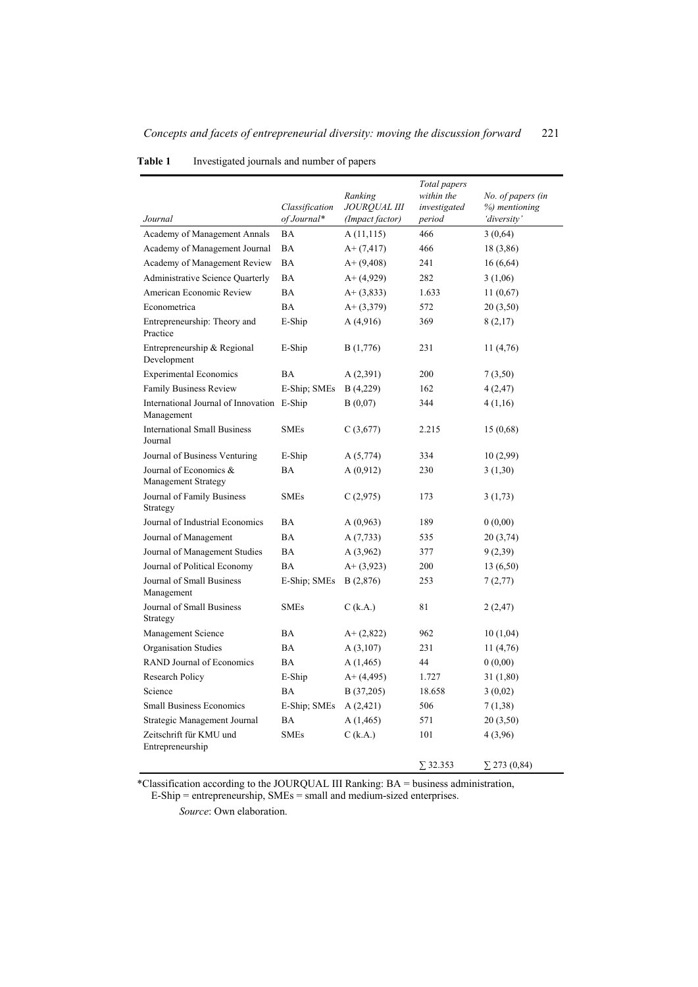|                                                          | Classification | Ranking<br><b>JOUROUAL III</b> | Total papers<br>within the<br>investigated | No. of papers (in<br>%) mentioning |
|----------------------------------------------------------|----------------|--------------------------------|--------------------------------------------|------------------------------------|
| Journal                                                  | of Journal*    | (Impact factor)                | period                                     | 'diversity'                        |
| Academy of Management Annals                             | <b>BA</b>      | A(11,115)                      | 466                                        | 3(0,64)                            |
| Academy of Management Journal                            | BA             | $A+ (7, 417)$                  | 466                                        | 18 (3,86)                          |
| Academy of Management Review                             | <b>BA</b>      | $A+ (9,408)$                   | 241                                        | 16(6,64)                           |
| Administrative Science Quarterly                         | <b>BA</b>      | $A+ (4,929)$                   | 282                                        | 3(1,06)                            |
| American Economic Review                                 | <b>BA</b>      | $A+ (3,833)$                   | 1.633                                      | 11(0,67)                           |
| Econometrica                                             | <b>BA</b>      | $A + (3,379)$                  | 572                                        | 20(3,50)                           |
| Entrepreneurship: Theory and<br>Practice                 | E-Ship         | A(4,916)                       | 369                                        | 8(2,17)                            |
| Entrepreneurship & Regional<br>Development               | E-Ship         | B (1,776)                      | 231                                        | 11 (4,76)                          |
| <b>Experimental Economics</b>                            | <b>BA</b>      | A (2,391)                      | 200                                        | 7(3,50)                            |
| <b>Family Business Review</b>                            | E-Ship; SMEs   | B(4,229)                       | 162                                        | 4(2, 47)                           |
| International Journal of Innovation E-Ship<br>Management |                | B(0,07)                        | 344                                        | 4(1,16)                            |
| <b>International Small Business</b><br>Journal           | <b>SMEs</b>    | C(3,677)                       | 2.215                                      | 15(0,68)                           |
| Journal of Business Venturing                            | E-Ship         | A(5,774)                       | 334                                        | 10 (2,99)                          |
| Journal of Economics &<br><b>Management Strategy</b>     | BA             | A(0,912)                       | 230                                        | 3(1,30)                            |
| Journal of Family Business<br>Strategy                   | <b>SMEs</b>    | C(2,975)                       | 173                                        | 3(1,73)                            |
| Journal of Industrial Economics                          | <b>BA</b>      | A(0,963)                       | 189                                        | 0(0,00)                            |
| Journal of Management                                    | <b>BA</b>      | A(7,733)                       | 535                                        | 20(3,74)                           |
| Journal of Management Studies                            | BA             | A(3,962)                       | 377                                        | 9(2,39)                            |
| Journal of Political Economy                             | BA             | $A+ (3,923)$                   | 200                                        | 13 (6,50)                          |
| Journal of Small Business<br>Management                  | E-Ship; SMEs   | B(2,876)                       | 253                                        | 7(2,77)                            |
| Journal of Small Business<br>Strategy                    | <b>SMEs</b>    | $C$ (k.A.)                     | 81                                         | 2(2,47)                            |
| Management Science                                       | BA             | $A+ (2,822)$                   | 962                                        | 10(1,04)                           |
| Organisation Studies                                     | BA             | A(3,107)                       | 231                                        | 11 (4,76)                          |
| <b>RAND Journal of Economics</b>                         | <b>BA</b>      | A (1,465)                      | 44                                         | 0(0,00)                            |
| Research Policy                                          | E-Ship         | $A+ (4, 495)$                  | 1.727                                      | 31 (1,80)                          |
| Science                                                  | BA             | B (37,205)                     | 18.658                                     | 3(0,02)                            |
| <b>Small Business Economics</b>                          | E-Ship; SMEs   | A(2,421)                       | 506                                        | 7(1,38)                            |
| Strategic Management Journal                             | <b>BA</b>      | A(1, 465)                      | 571                                        | 20(3,50)                           |
| Zeitschrift für KMU und<br>Entrepreneurship              | <b>SMEs</b>    | $C$ (k.A.)                     | 101                                        | 4 (3,96)                           |
|                                                          |                |                                | $\Sigma$ 32.353                            | $\Sigma$ 273 (0,84)                |

### **Table 1** Investigated journals and number of papers

\*Classification according to the JOURQUAL III Ranking: BA = business administration, E-Ship = entrepreneurship, SMEs = small and medium-sized enterprises.

*Source*: Own elaboration.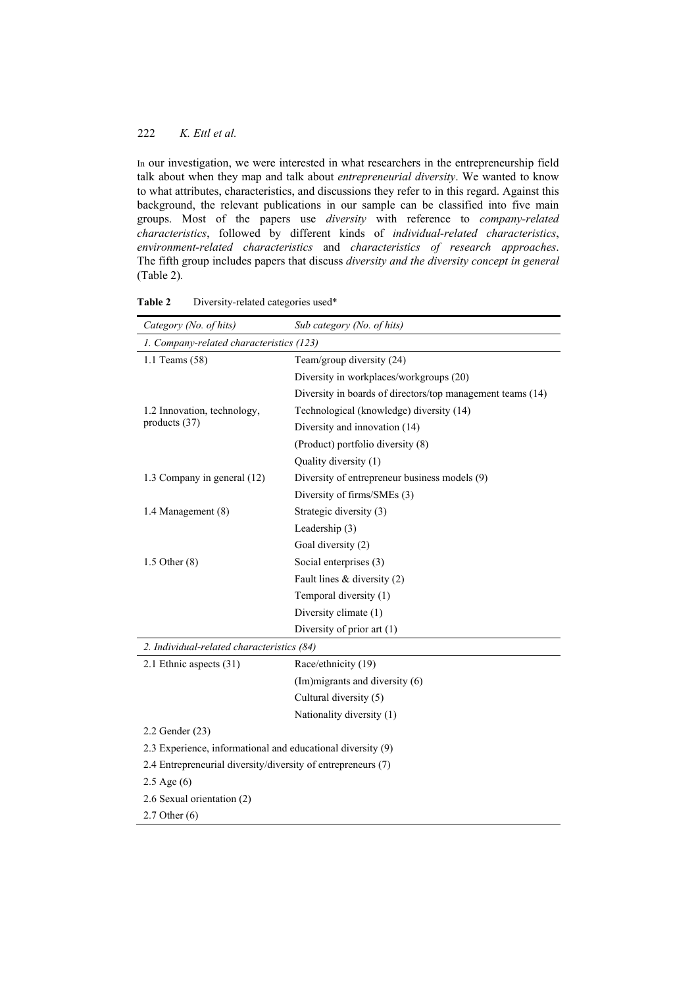In our investigation, we were interested in what researchers in the entrepreneurship field talk about when they map and talk about *entrepreneurial diversity*. We wanted to know to what attributes, characteristics, and discussions they refer to in this regard. Against this background, the relevant publications in our sample can be classified into five main groups. Most of the papers use *diversity* with reference to *company-related characteristics*, followed by different kinds of *individual-related characteristics*, *environment-related characteristics* and *characteristics of research approaches*. The fifth group includes papers that discuss *diversity and the diversity concept in general*  (Table 2)*.* 

| Category (No. of hits)                                       | Sub category (No. of hits)                                 |  |  |  |
|--------------------------------------------------------------|------------------------------------------------------------|--|--|--|
| 1. Company-related characteristics (123)                     |                                                            |  |  |  |
| 1.1 Teams (58)                                               | Team/group diversity (24)                                  |  |  |  |
|                                                              | Diversity in workplaces/workgroups (20)                    |  |  |  |
|                                                              | Diversity in boards of directors/top management teams (14) |  |  |  |
| 1.2 Innovation, technology,                                  | Technological (knowledge) diversity (14)                   |  |  |  |
| products (37)                                                | Diversity and innovation (14)                              |  |  |  |
|                                                              | (Product) portfolio diversity (8)                          |  |  |  |
|                                                              | Quality diversity (1)                                      |  |  |  |
| 1.3 Company in general (12)                                  | Diversity of entrepreneur business models (9)              |  |  |  |
|                                                              | Diversity of firms/SMEs (3)                                |  |  |  |
| 1.4 Management (8)                                           | Strategic diversity (3)                                    |  |  |  |
|                                                              | Leadership (3)                                             |  |  |  |
|                                                              | Goal diversity (2)                                         |  |  |  |
| $1.5$ Other $(8)$                                            | Social enterprises (3)                                     |  |  |  |
|                                                              | Fault lines $&$ diversity (2)                              |  |  |  |
|                                                              | Temporal diversity (1)                                     |  |  |  |
|                                                              | Diversity climate (1)                                      |  |  |  |
|                                                              | Diversity of prior art (1)                                 |  |  |  |
| 2. Individual-related characteristics (84)                   |                                                            |  |  |  |
| 2.1 Ethnic aspects (31)                                      | Race/ethnicity (19)                                        |  |  |  |
|                                                              | (Im) migrants and diversity (6)                            |  |  |  |
|                                                              | Cultural diversity (5)                                     |  |  |  |
|                                                              | Nationality diversity (1)                                  |  |  |  |
| 2.2 Gender (23)                                              |                                                            |  |  |  |
| 2.3 Experience, informational and educational diversity (9)  |                                                            |  |  |  |
| 2.4 Entrepreneurial diversity/diversity of entrepreneurs (7) |                                                            |  |  |  |
| $2.5$ Age $(6)$                                              |                                                            |  |  |  |
| 2.6 Sexual orientation (2)                                   |                                                            |  |  |  |
| $2.7$ Other $(6)$                                            |                                                            |  |  |  |

| Table 2 | Diversity-related categories used* |  |
|---------|------------------------------------|--|
|---------|------------------------------------|--|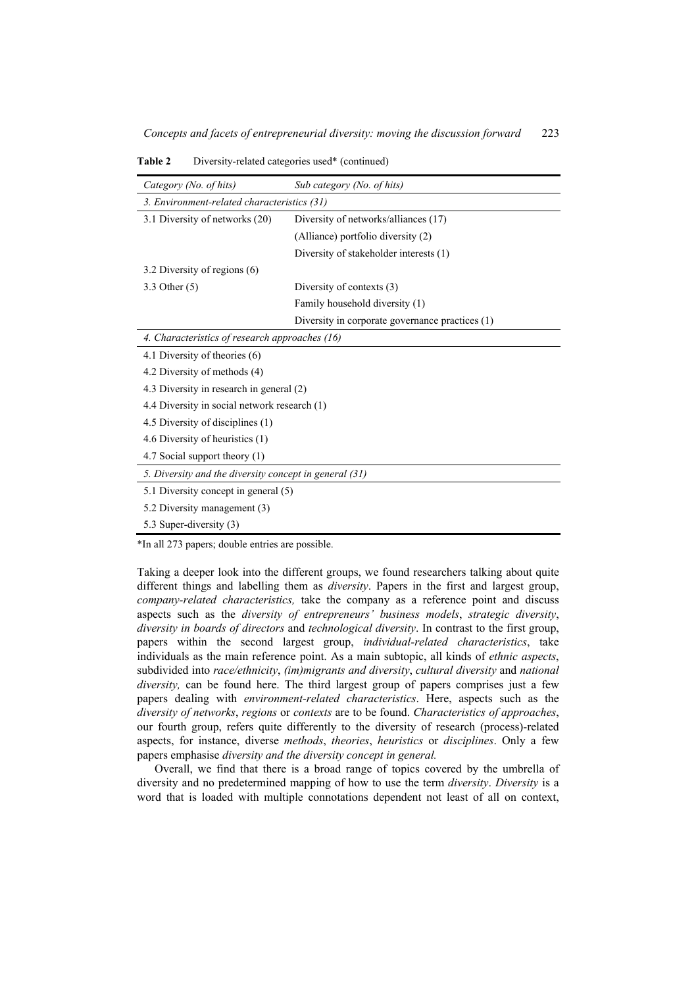| Category (No. of hits)                                 | Sub category (No. of hits)                      |  |  |  |
|--------------------------------------------------------|-------------------------------------------------|--|--|--|
| 3. Environment-related characteristics (31)            |                                                 |  |  |  |
| 3.1 Diversity of networks (20)                         | Diversity of networks/alliances (17)            |  |  |  |
|                                                        | (Alliance) portfolio diversity (2)              |  |  |  |
|                                                        | Diversity of stakeholder interests (1)          |  |  |  |
| 3.2 Diversity of regions (6)                           |                                                 |  |  |  |
| 3.3 Other (5)                                          | Diversity of contexts (3)                       |  |  |  |
|                                                        | Family household diversity (1)                  |  |  |  |
|                                                        | Diversity in corporate governance practices (1) |  |  |  |
| 4. Characteristics of research approaches (16)         |                                                 |  |  |  |
| 4.1 Diversity of theories (6)                          |                                                 |  |  |  |
| 4.2 Diversity of methods (4)                           |                                                 |  |  |  |
| 4.3 Diversity in research in general (2)               |                                                 |  |  |  |
| 4.4 Diversity in social network research (1)           |                                                 |  |  |  |
| 4.5 Diversity of disciplines (1)                       |                                                 |  |  |  |
| 4.6 Diversity of heuristics (1)                        |                                                 |  |  |  |
| 4.7 Social support theory (1)                          |                                                 |  |  |  |
| 5. Diversity and the diversity concept in general (31) |                                                 |  |  |  |
| 5.1 Diversity concept in general (5)                   |                                                 |  |  |  |
| 5.2 Diversity management (3)                           |                                                 |  |  |  |
| 5.3 Super-diversity (3)                                |                                                 |  |  |  |

**Table 2** Diversity-related categories used\* (continued)

\*In all 273 papers; double entries are possible.

Taking a deeper look into the different groups, we found researchers talking about quite different things and labelling them as *diversity*. Papers in the first and largest group, *company-related characteristics,* take the company as a reference point and discuss aspects such as the *diversity of entrepreneurs' business models*, *strategic diversity*, *diversity in boards of directors* and *technological diversity*. In contrast to the first group, papers within the second largest group, *individual-related characteristics*, take individuals as the main reference point. As a main subtopic, all kinds of *ethnic aspects*, subdivided into *race/ethnicity*, *(im)migrants and diversity*, *cultural diversity* and *national diversity,* can be found here. The third largest group of papers comprises just a few papers dealing with *environment-related characteristics*. Here, aspects such as the *diversity of networks*, *regions* or *contexts* are to be found. *Characteristics of approaches*, our fourth group, refers quite differently to the diversity of research (process)-related aspects, for instance, diverse *methods*, *theories*, *heuristics* or *disciplines*. Only a few papers emphasise *diversity and the diversity concept in general.*

Overall, we find that there is a broad range of topics covered by the umbrella of diversity and no predetermined mapping of how to use the term *diversity*. *Diversity* is a word that is loaded with multiple connotations dependent not least of all on context,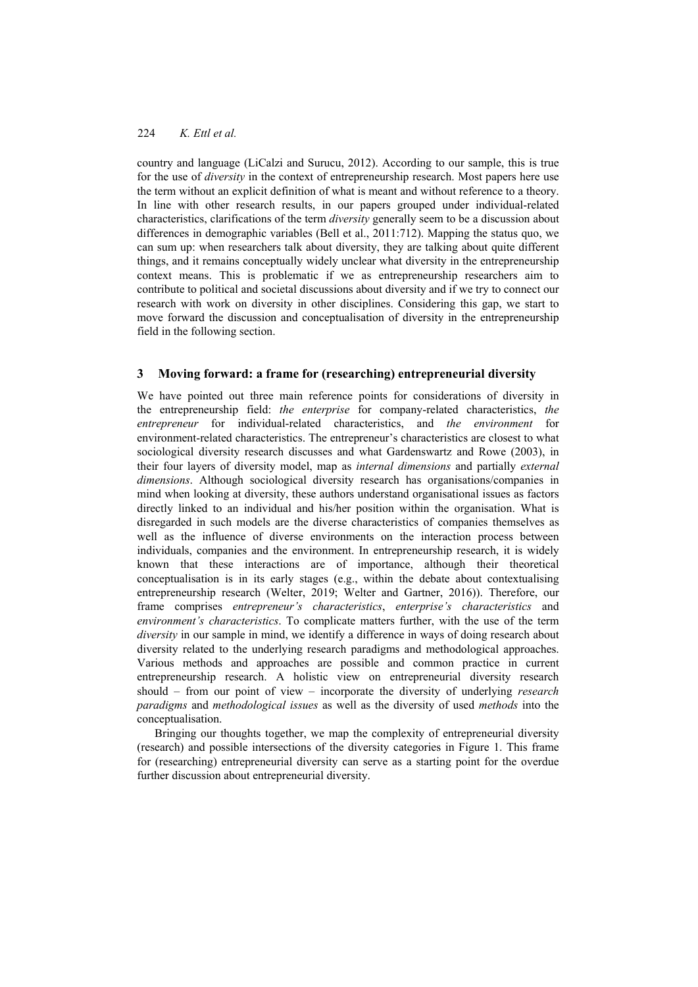country and language (LiCalzi and Surucu, 2012). According to our sample, this is true for the use of *diversity* in the context of entrepreneurship research. Most papers here use the term without an explicit definition of what is meant and without reference to a theory. In line with other research results, in our papers grouped under individual-related characteristics, clarifications of the term *diversity* generally seem to be a discussion about differences in demographic variables (Bell et al., 2011:712). Mapping the status quo, we can sum up: when researchers talk about diversity, they are talking about quite different things, and it remains conceptually widely unclear what diversity in the entrepreneurship context means. This is problematic if we as entrepreneurship researchers aim to contribute to political and societal discussions about diversity and if we try to connect our research with work on diversity in other disciplines. Considering this gap, we start to move forward the discussion and conceptualisation of diversity in the entrepreneurship field in the following section.

## **3 Moving forward: a frame for (researching) entrepreneurial diversity**

We have pointed out three main reference points for considerations of diversity in the entrepreneurship field: *the enterprise* for company-related characteristics, *the entrepreneur* for individual-related characteristics, and *the environment* for environment-related characteristics. The entrepreneur's characteristics are closest to what sociological diversity research discusses and what Gardenswartz and Rowe (2003), in their four layers of diversity model, map as *internal dimensions* and partially *external dimensions*. Although sociological diversity research has organisations/companies in mind when looking at diversity, these authors understand organisational issues as factors directly linked to an individual and his/her position within the organisation. What is disregarded in such models are the diverse characteristics of companies themselves as well as the influence of diverse environments on the interaction process between individuals, companies and the environment. In entrepreneurship research, it is widely known that these interactions are of importance, although their theoretical conceptualisation is in its early stages (e.g., within the debate about contextualising entrepreneurship research (Welter, 2019; Welter and Gartner, 2016)). Therefore, our frame comprises *entrepreneur's characteristics*, *enterprise's characteristics* and *environment's characteristics*. To complicate matters further, with the use of the term *diversity* in our sample in mind, we identify a difference in ways of doing research about diversity related to the underlying research paradigms and methodological approaches. Various methods and approaches are possible and common practice in current entrepreneurship research. A holistic view on entrepreneurial diversity research should – from our point of view – incorporate the diversity of underlying *research paradigms* and *methodological issues* as well as the diversity of used *methods* into the conceptualisation.

Bringing our thoughts together, we map the complexity of entrepreneurial diversity (research) and possible intersections of the diversity categories in Figure 1. This frame for (researching) entrepreneurial diversity can serve as a starting point for the overdue further discussion about entrepreneurial diversity.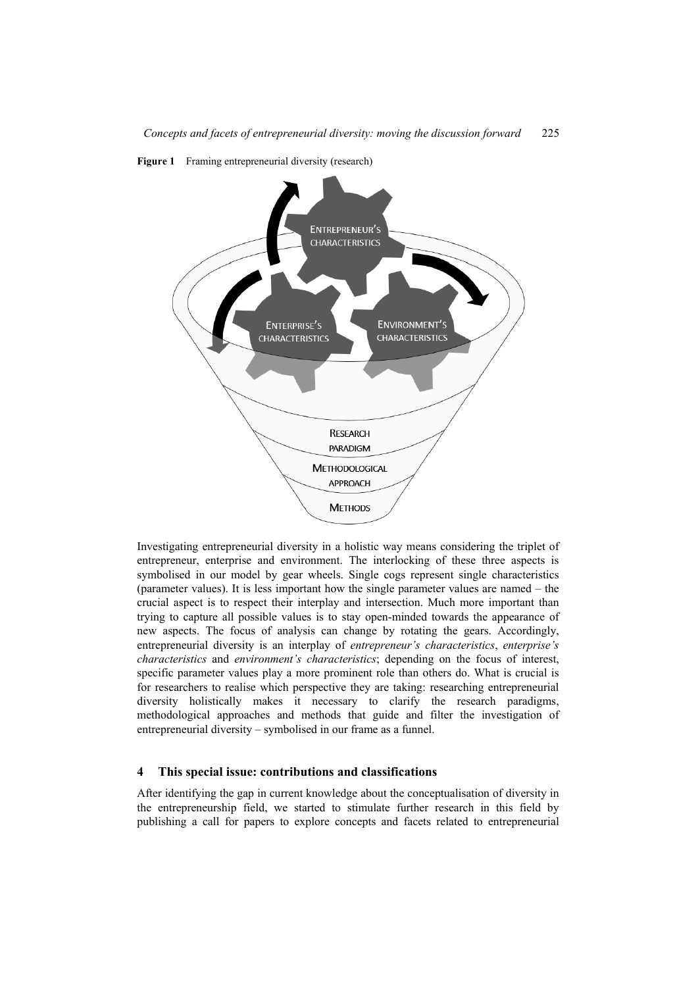

**Figure 1** Framing entrepreneurial diversity (research)

Investigating entrepreneurial diversity in a holistic way means considering the triplet of entrepreneur, enterprise and environment. The interlocking of these three aspects is symbolised in our model by gear wheels. Single cogs represent single characteristics (parameter values). It is less important how the single parameter values are named – the crucial aspect is to respect their interplay and intersection. Much more important than trying to capture all possible values is to stay open-minded towards the appearance of new aspects. The focus of analysis can change by rotating the gears. Accordingly, entrepreneurial diversity is an interplay of *entrepreneur's characteristics*, *enterprise's characteristics* and *environment's characteristics*; depending on the focus of interest, specific parameter values play a more prominent role than others do. What is crucial is for researchers to realise which perspective they are taking: researching entrepreneurial diversity holistically makes it necessary to clarify the research paradigms, methodological approaches and methods that guide and filter the investigation of entrepreneurial diversity – symbolised in our frame as a funnel.

#### **4 This special issue: contributions and classifications**

After identifying the gap in current knowledge about the conceptualisation of diversity in the entrepreneurship field, we started to stimulate further research in this field by publishing a call for papers to explore concepts and facets related to entrepreneurial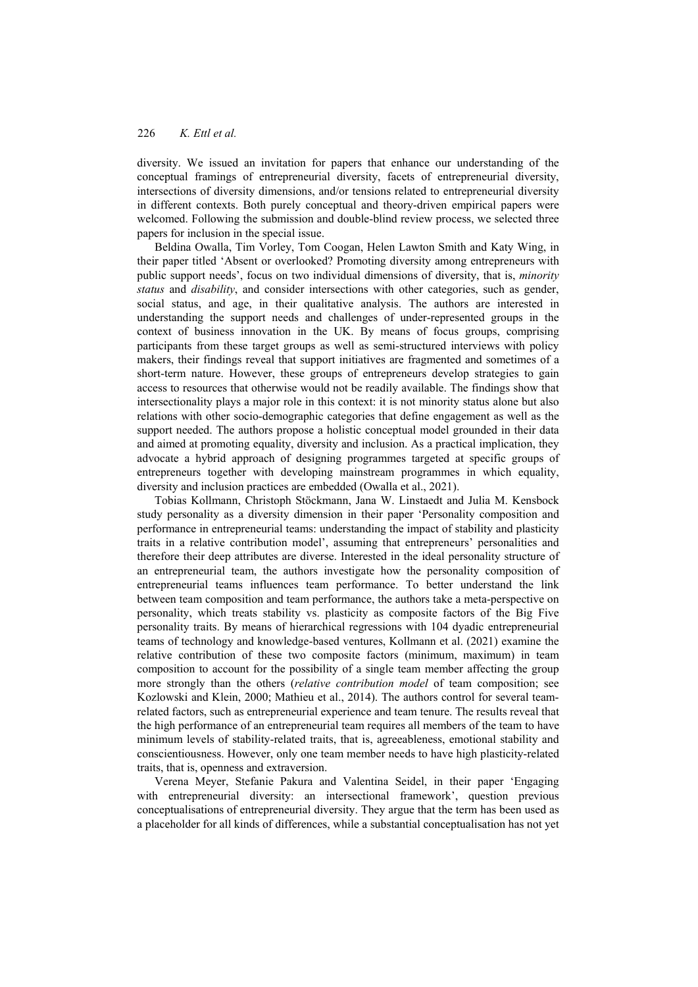diversity. We issued an invitation for papers that enhance our understanding of the conceptual framings of entrepreneurial diversity, facets of entrepreneurial diversity, intersections of diversity dimensions, and/or tensions related to entrepreneurial diversity in different contexts. Both purely conceptual and theory-driven empirical papers were welcomed. Following the submission and double-blind review process, we selected three papers for inclusion in the special issue.

Beldina Owalla, Tim Vorley, Tom Coogan, Helen Lawton Smith and Katy Wing, in their paper titled 'Absent or overlooked? Promoting diversity among entrepreneurs with public support needs', focus on two individual dimensions of diversity, that is, *minority status* and *disability*, and consider intersections with other categories, such as gender, social status, and age, in their qualitative analysis. The authors are interested in understanding the support needs and challenges of under-represented groups in the context of business innovation in the UK. By means of focus groups, comprising participants from these target groups as well as semi-structured interviews with policy makers, their findings reveal that support initiatives are fragmented and sometimes of a short-term nature. However, these groups of entrepreneurs develop strategies to gain access to resources that otherwise would not be readily available. The findings show that intersectionality plays a major role in this context: it is not minority status alone but also relations with other socio-demographic categories that define engagement as well as the support needed. The authors propose a holistic conceptual model grounded in their data and aimed at promoting equality, diversity and inclusion. As a practical implication, they advocate a hybrid approach of designing programmes targeted at specific groups of entrepreneurs together with developing mainstream programmes in which equality, diversity and inclusion practices are embedded (Owalla et al., 2021).

Tobias Kollmann, Christoph Stöckmann, Jana W. Linstaedt and Julia M. Kensbock study personality as a diversity dimension in their paper 'Personality composition and performance in entrepreneurial teams: understanding the impact of stability and plasticity traits in a relative contribution model', assuming that entrepreneurs' personalities and therefore their deep attributes are diverse. Interested in the ideal personality structure of an entrepreneurial team, the authors investigate how the personality composition of entrepreneurial teams influences team performance. To better understand the link between team composition and team performance, the authors take a meta-perspective on personality, which treats stability vs. plasticity as composite factors of the Big Five personality traits. By means of hierarchical regressions with 104 dyadic entrepreneurial teams of technology and knowledge-based ventures, Kollmann et al. (2021) examine the relative contribution of these two composite factors (minimum, maximum) in team composition to account for the possibility of a single team member affecting the group more strongly than the others (*relative contribution model* of team composition; see Kozlowski and Klein, 2000; Mathieu et al., 2014). The authors control for several teamrelated factors, such as entrepreneurial experience and team tenure. The results reveal that the high performance of an entrepreneurial team requires all members of the team to have minimum levels of stability-related traits, that is, agreeableness, emotional stability and conscientiousness. However, only one team member needs to have high plasticity-related traits, that is, openness and extraversion.

Verena Meyer, Stefanie Pakura and Valentina Seidel, in their paper 'Engaging with entrepreneurial diversity: an intersectional framework', question previous conceptualisations of entrepreneurial diversity. They argue that the term has been used as a placeholder for all kinds of differences, while a substantial conceptualisation has not yet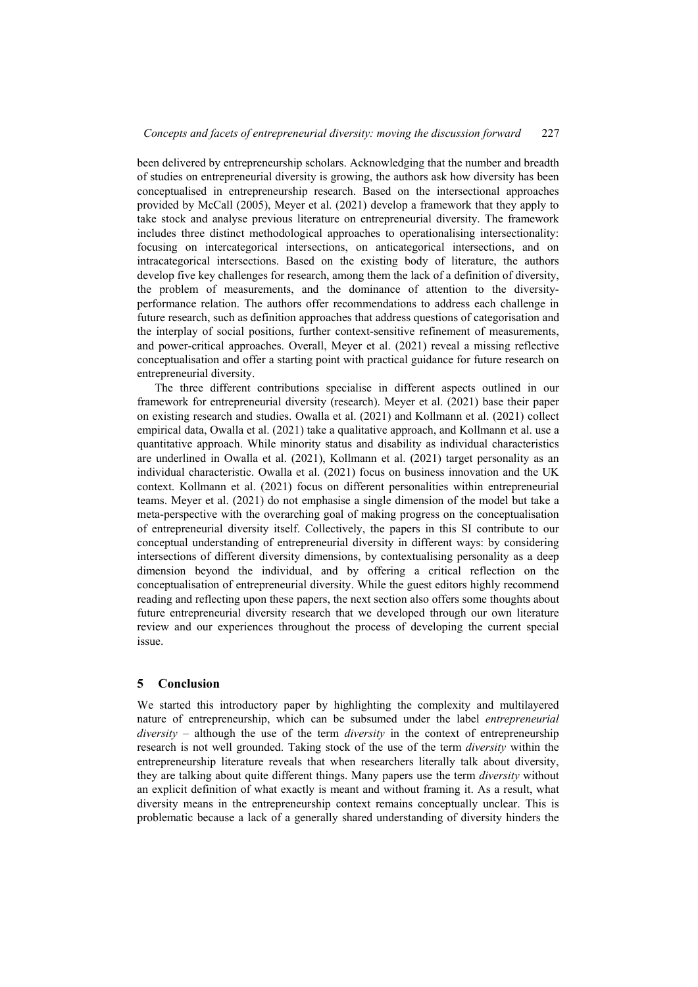been delivered by entrepreneurship scholars. Acknowledging that the number and breadth of studies on entrepreneurial diversity is growing, the authors ask how diversity has been conceptualised in entrepreneurship research. Based on the intersectional approaches provided by McCall (2005), Meyer et al. (2021) develop a framework that they apply to take stock and analyse previous literature on entrepreneurial diversity. The framework includes three distinct methodological approaches to operationalising intersectionality: focusing on intercategorical intersections, on anticategorical intersections, and on intracategorical intersections. Based on the existing body of literature, the authors develop five key challenges for research, among them the lack of a definition of diversity, the problem of measurements, and the dominance of attention to the diversityperformance relation. The authors offer recommendations to address each challenge in future research, such as definition approaches that address questions of categorisation and the interplay of social positions, further context-sensitive refinement of measurements, and power-critical approaches. Overall, Meyer et al. (2021) reveal a missing reflective conceptualisation and offer a starting point with practical guidance for future research on entrepreneurial diversity.

The three different contributions specialise in different aspects outlined in our framework for entrepreneurial diversity (research). Meyer et al. (2021) base their paper on existing research and studies. Owalla et al. (2021) and Kollmann et al. (2021) collect empirical data, Owalla et al. (2021) take a qualitative approach, and Kollmann et al. use a quantitative approach. While minority status and disability as individual characteristics are underlined in Owalla et al. (2021), Kollmann et al. (2021) target personality as an individual characteristic. Owalla et al. (2021) focus on business innovation and the UK context. Kollmann et al. (2021) focus on different personalities within entrepreneurial teams. Meyer et al. (2021) do not emphasise a single dimension of the model but take a meta-perspective with the overarching goal of making progress on the conceptualisation of entrepreneurial diversity itself. Collectively, the papers in this SI contribute to our conceptual understanding of entrepreneurial diversity in different ways: by considering intersections of different diversity dimensions, by contextualising personality as a deep dimension beyond the individual, and by offering a critical reflection on the conceptualisation of entrepreneurial diversity. While the guest editors highly recommend reading and reflecting upon these papers, the next section also offers some thoughts about future entrepreneurial diversity research that we developed through our own literature review and our experiences throughout the process of developing the current special issue.

### **5 Conclusion**

We started this introductory paper by highlighting the complexity and multilayered nature of entrepreneurship, which can be subsumed under the label *entrepreneurial diversity* – although the use of the term *diversity* in the context of entrepreneurship research is not well grounded. Taking stock of the use of the term *diversity* within the entrepreneurship literature reveals that when researchers literally talk about diversity, they are talking about quite different things. Many papers use the term *diversity* without an explicit definition of what exactly is meant and without framing it. As a result, what diversity means in the entrepreneurship context remains conceptually unclear. This is problematic because a lack of a generally shared understanding of diversity hinders the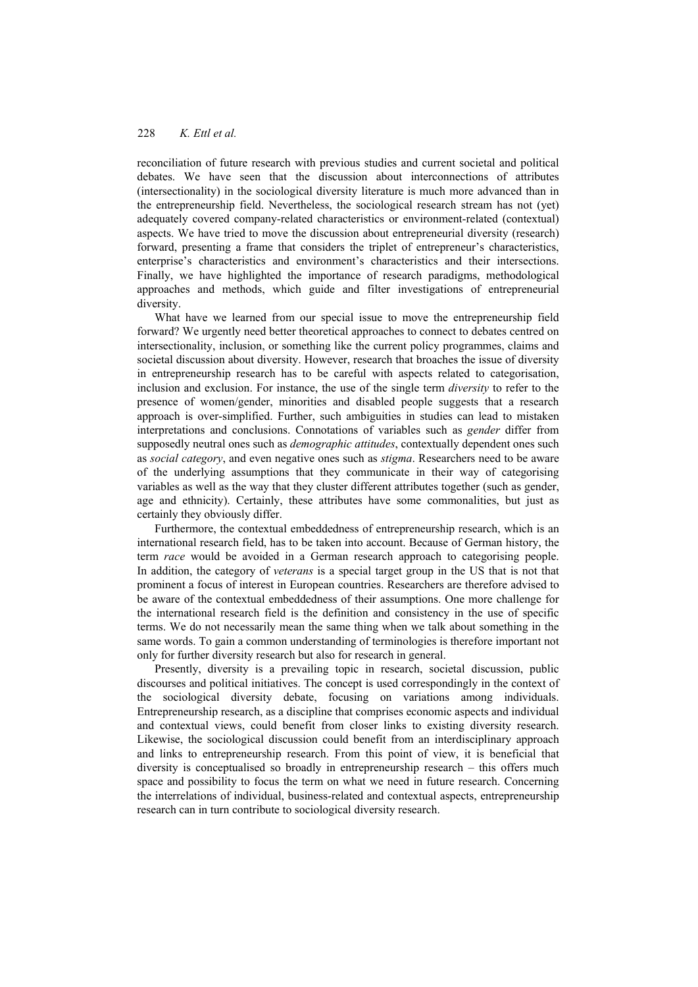reconciliation of future research with previous studies and current societal and political debates. We have seen that the discussion about interconnections of attributes (intersectionality) in the sociological diversity literature is much more advanced than in the entrepreneurship field. Nevertheless, the sociological research stream has not (yet) adequately covered company-related characteristics or environment-related (contextual) aspects. We have tried to move the discussion about entrepreneurial diversity (research) forward, presenting a frame that considers the triplet of entrepreneur's characteristics, enterprise's characteristics and environment's characteristics and their intersections. Finally, we have highlighted the importance of research paradigms, methodological approaches and methods, which guide and filter investigations of entrepreneurial diversity.

What have we learned from our special issue to move the entrepreneurship field forward? We urgently need better theoretical approaches to connect to debates centred on intersectionality, inclusion, or something like the current policy programmes, claims and societal discussion about diversity. However, research that broaches the issue of diversity in entrepreneurship research has to be careful with aspects related to categorisation, inclusion and exclusion. For instance, the use of the single term *diversity* to refer to the presence of women/gender, minorities and disabled people suggests that a research approach is over-simplified. Further, such ambiguities in studies can lead to mistaken interpretations and conclusions. Connotations of variables such as *gender* differ from supposedly neutral ones such as *demographic attitudes*, contextually dependent ones such as *social category*, and even negative ones such as *stigma*. Researchers need to be aware of the underlying assumptions that they communicate in their way of categorising variables as well as the way that they cluster different attributes together (such as gender, age and ethnicity). Certainly, these attributes have some commonalities, but just as certainly they obviously differ.

Furthermore, the contextual embeddedness of entrepreneurship research, which is an international research field, has to be taken into account. Because of German history, the term *race* would be avoided in a German research approach to categorising people. In addition, the category of *veterans* is a special target group in the US that is not that prominent a focus of interest in European countries. Researchers are therefore advised to be aware of the contextual embeddedness of their assumptions. One more challenge for the international research field is the definition and consistency in the use of specific terms. We do not necessarily mean the same thing when we talk about something in the same words. To gain a common understanding of terminologies is therefore important not only for further diversity research but also for research in general.

Presently, diversity is a prevailing topic in research, societal discussion, public discourses and political initiatives. The concept is used correspondingly in the context of the sociological diversity debate, focusing on variations among individuals. Entrepreneurship research, as a discipline that comprises economic aspects and individual and contextual views, could benefit from closer links to existing diversity research. Likewise, the sociological discussion could benefit from an interdisciplinary approach and links to entrepreneurship research. From this point of view, it is beneficial that diversity is conceptualised so broadly in entrepreneurship research – this offers much space and possibility to focus the term on what we need in future research. Concerning the interrelations of individual, business-related and contextual aspects, entrepreneurship research can in turn contribute to sociological diversity research.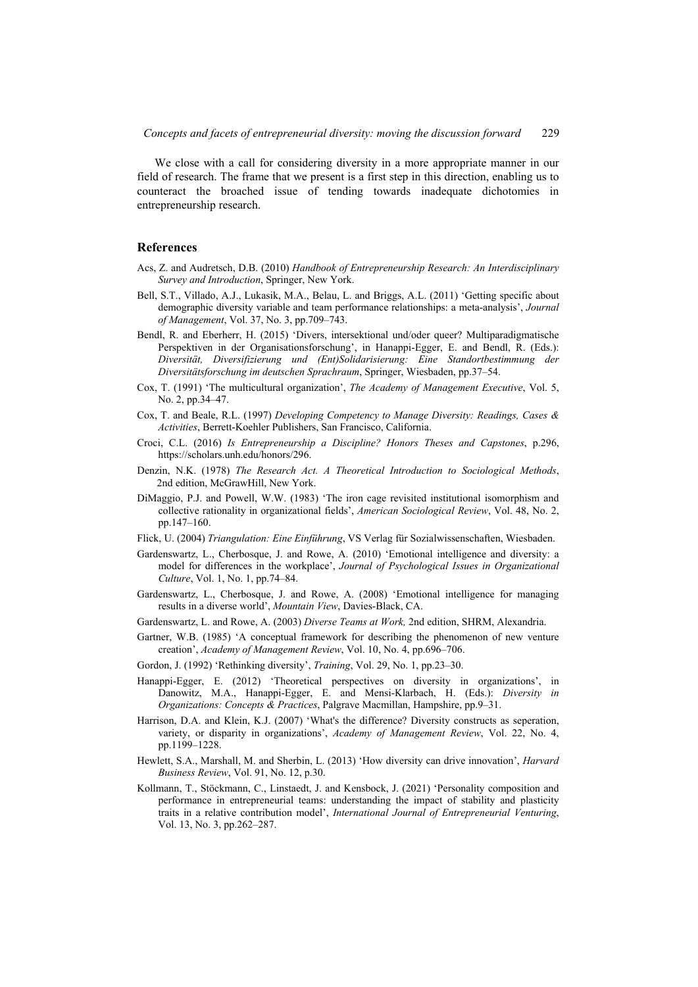We close with a call for considering diversity in a more appropriate manner in our field of research. The frame that we present is a first step in this direction, enabling us to counteract the broached issue of tending towards inadequate dichotomies in entrepreneurship research.

#### **References**

- Acs, Z. and Audretsch, D.B. (2010) *Handbook of Entrepreneurship Research: An Interdisciplinary Survey and Introduction*, Springer, New York.
- Bell, S.T., Villado, A.J., Lukasik, M.A., Belau, L. and Briggs, A.L. (2011) 'Getting specific about demographic diversity variable and team performance relationships: a meta-analysis', *Journal of Management*, Vol. 37, No. 3, pp.709–743.
- Bendl, R. and Eberherr, H. (2015) 'Divers, intersektional und/oder queer? Multiparadigmatische Perspektiven in der Organisationsforschung', in Hanappi-Egger, E. and Bendl, R. (Eds.): *Diversität, Diversifizierung und (Ent)Solidarisierung: Eine Standortbestimmung der Diversitätsforschung im deutschen Sprachraum*, Springer, Wiesbaden, pp.37–54.
- Cox, T. (1991) 'The multicultural organization', *The Academy of Management Executive*, Vol. 5, No. 2, pp.34–47.
- Cox, T. and Beale, R.L. (1997) *Developing Competency to Manage Diversity: Readings, Cases & Activities*, Berrett-Koehler Publishers, San Francisco, California.
- Croci, C.L. (2016) *Is Entrepreneurship a Discipline? Honors Theses and Capstones*, p.296, https://scholars.unh.edu/honors/296.
- Denzin, N.K. (1978) *The Research Act. A Theoretical Introduction to Sociological Methods*, 2nd edition, McGrawHill, New York.
- DiMaggio, P.J. and Powell, W.W. (1983) 'The iron cage revisited institutional isomorphism and collective rationality in organizational fields', *American Sociological Review*, Vol. 48, No. 2, pp.147–160.
- Flick, U. (2004) *Triangulation: Eine Einführung*, VS Verlag für Sozialwissenschaften, Wiesbaden.
- Gardenswartz, L., Cherbosque, J. and Rowe, A. (2010) 'Emotional intelligence and diversity: a model for differences in the workplace', *Journal of Psychological Issues in Organizational Culture*, Vol. 1, No. 1, pp.74–84.
- Gardenswartz, L., Cherbosque, J. and Rowe, A. (2008) 'Emotional intelligence for managing results in a diverse world', *Mountain View*, Davies-Black, CA.
- Gardenswartz, L. and Rowe, A. (2003) *Diverse Teams at Work,* 2nd edition, SHRM, Alexandria.
- Gartner, W.B. (1985) 'A conceptual framework for describing the phenomenon of new venture creation', *Academy of Management Review*, Vol. 10, No. 4, pp.696–706.
- Gordon, J. (1992) 'Rethinking diversity', *Training*, Vol. 29, No. 1, pp.23–30.
- Hanappi-Egger, E. (2012) 'Theoretical perspectives on diversity in organizations', in Danowitz, M.A., Hanappi-Egger, E. and Mensi-Klarbach, H. (Eds.): *Diversity in Organizations: Concepts & Practices*, Palgrave Macmillan, Hampshire, pp.9–31.
- Harrison, D.A. and Klein, K.J. (2007) 'What's the difference? Diversity constructs as seperation, variety, or disparity in organizations', *Academy of Management Review*, Vol. 22, No. 4, pp.1199–1228.
- Hewlett, S.A., Marshall, M. and Sherbin, L. (2013) 'How diversity can drive innovation', *Harvard Business Review*, Vol. 91, No. 12, p.30.
- Kollmann, T., Stöckmann, C., Linstaedt, J. and Kensbock, J. (2021) 'Personality composition and performance in entrepreneurial teams: understanding the impact of stability and plasticity traits in a relative contribution model', *International Journal of Entrepreneurial Venturing*, Vol. 13, No. 3, pp.262–287.